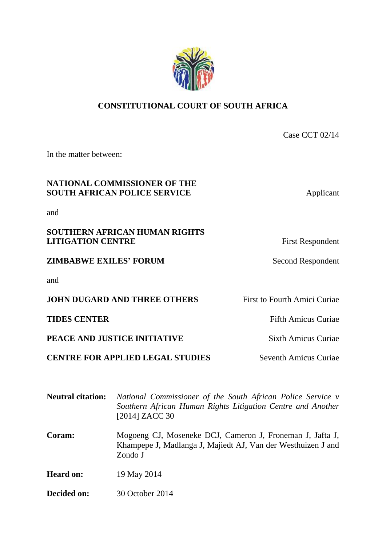### **CONSTITUTIONAL COURT OF SOUTH AFRICA**

| In the matter between:                                              |                                     |
|---------------------------------------------------------------------|-------------------------------------|
| NATIONAL COMMISSIONER OF THE<br><b>SOUTH AFRICAN POLICE SERVICE</b> | Applicant                           |
| and                                                                 |                                     |
| SOUTHERN AFRICAN HUMAN RIGHTS<br><b>LITIGATION CENTRE</b>           | <b>First Respondent</b>             |
| <b>ZIMBABWE EXILES' FORUM</b>                                       | <b>Second Respondent</b>            |
| and                                                                 |                                     |
| <b>JOHN DUGARD AND THREE OTHERS</b>                                 | <b>First to Fourth Amici Curiae</b> |
| <b>TIDES CENTER</b>                                                 | <b>Fifth Amicus Curiae</b>          |
| PEACE AND JUSTICE INITIATIVE                                        | <b>Sixth Amicus Curiae</b>          |
| <b>CENTRE FOR APPLIED LEGAL STUDIES</b>                             | <b>Seventh Amicus Curiae</b>        |
|                                                                     |                                     |

| <b>Neutral citation:</b> | National Commissioner of the South African Police Service v<br>Southern African Human Rights Litigation Centre and Another<br>[2014] ZACC 30 |
|--------------------------|----------------------------------------------------------------------------------------------------------------------------------------------|
| Coram:                   | Mogoeng CJ, Moseneke DCJ, Cameron J, Froneman J, Jafta J,<br>Khampepe J, Madlanga J, Majiedt AJ, Van der Westhuizen J and<br>Zondo J         |
| <b>Heard on:</b>         | 19 May 2014                                                                                                                                  |
| Decided on:              | 30 October 2014                                                                                                                              |



Case CCT 02/14

## and

# **SOUTHERN AFRICAN HUMAN RIGHTS**

and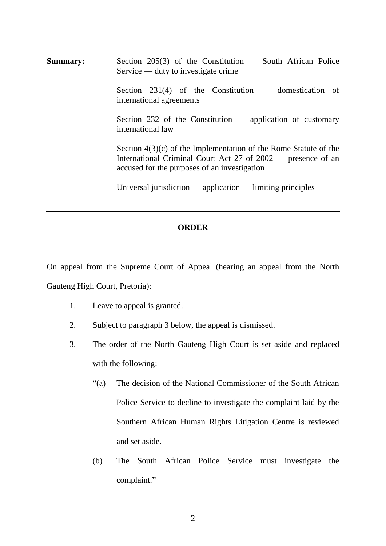**Summary:** Section 205(3) of the Constitution — South African Police Service — duty to investigate crime Section 231(4) of the Constitution — domestication of international agreements Section 232 of the Constitution — application of customary international law Section 4(3)(c) of the Implementation of the Rome Statute of the International Criminal Court Act 27 of 2002 — presence of an accused for the purposes of an investigation Universal jurisdiction — application — limiting principles

### **ORDER**

On appeal from the Supreme Court of Appeal (hearing an appeal from the North Gauteng High Court, Pretoria):

- 1. Leave to appeal is granted.
- 2. Subject to paragraph 3 below, the appeal is dismissed.
- 3. The order of the North Gauteng High Court is set aside and replaced with the following:
	- "(a) The decision of the National Commissioner of the South African Police Service to decline to investigate the complaint laid by the Southern African Human Rights Litigation Centre is reviewed and set aside.
	- (b) The South African Police Service must investigate the complaint."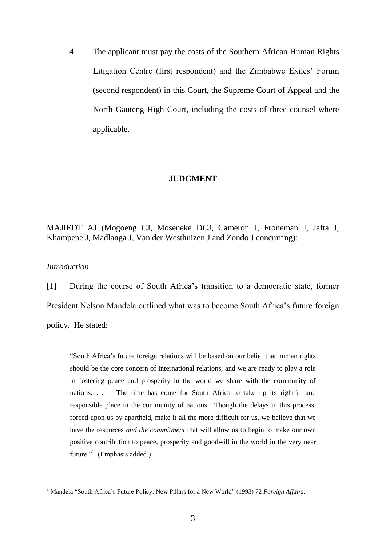4. The applicant must pay the costs of the Southern African Human Rights Litigation Centre (first respondent) and the Zimbabwe Exiles' Forum (second respondent) in this Court, the Supreme Court of Appeal and the North Gauteng High Court, including the costs of three counsel where applicable.

#### **JUDGMENT**

MAJIEDT AJ (Mogoeng CJ, Moseneke DCJ, Cameron J, Froneman J, Jafta J, Khampepe J, Madlanga J, Van der Westhuizen J and Zondo J concurring):

#### *Introduction*

 $\overline{a}$ 

[1] During the course of South Africa's transition to a democratic state, former President Nelson Mandela outlined what was to become South Africa's future foreign policy. He stated:

"South Africa's future foreign relations will be based on our belief that human rights should be the core concern of international relations, and we are ready to play a role in fostering peace and prosperity in the world we share with the community of nations. . . . The time has come for South Africa to take up its rightful and responsible place in the community of nations. Though the delays in this process, forced upon us by apartheid, make it all the more difficult for us, we believe that we have the resources *and the commitment* that will allow us to begin to make our own positive contribution to peace, prosperity and goodwill in the world in the very near future."<sup>1</sup> (Emphasis added.)

<sup>1</sup> Mandela "South Africa's Future Policy: New Pillars for a New World" (1993) 72 *Foreign Affairs*.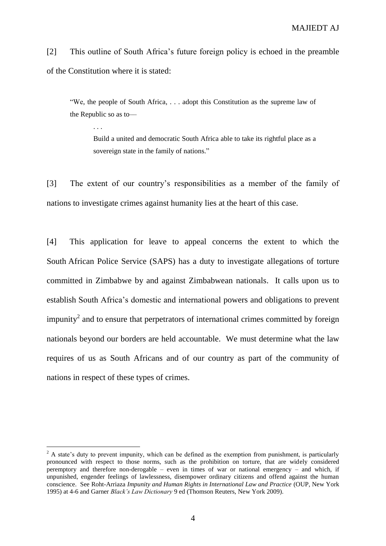[2] This outline of South Africa's future foreign policy is echoed in the preamble of the Constitution where it is stated:

"We, the people of South Africa, . . . adopt this Constitution as the supreme law of the Republic so as to––

. . .

 $\overline{a}$ 

Build a united and democratic South Africa able to take its rightful place as a sovereign state in the family of nations."

[3] The extent of our country's responsibilities as a member of the family of nations to investigate crimes against humanity lies at the heart of this case.

[4] This application for leave to appeal concerns the extent to which the South African Police Service (SAPS) has a duty to investigate allegations of torture committed in Zimbabwe by and against Zimbabwean nationals. It calls upon us to establish South Africa's domestic and international powers and obligations to prevent impunity<sup>2</sup> and to ensure that perpetrators of international crimes committed by foreign nationals beyond our borders are held accountable. We must determine what the law requires of us as South Africans and of our country as part of the community of nations in respect of these types of crimes.

 $2 \text{ A state's duty to prevent impunity, which can be defined as the exception from punishment, is particularly.}$ pronounced with respect to those norms, such as the prohibition on torture, that are widely considered peremptory and therefore non-derogable – even in times of war or national emergency – and which, if unpunished, engender feelings of lawlessness, disempower ordinary citizens and offend against the human conscience. See Roht-Arriaza *Impunity and Human Rights in International Law and Practice* (OUP, New York 1995) at 4-6 and Garner *Black's Law Dictionary* 9 ed (Thomson Reuters, New York 2009).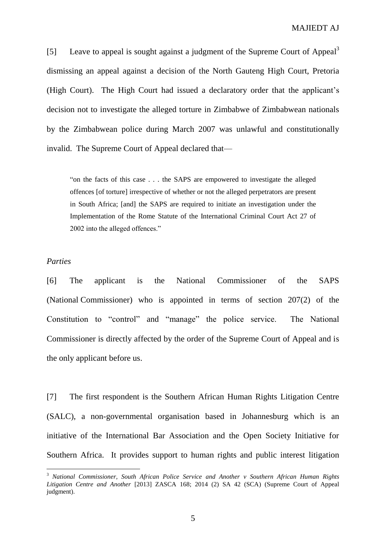[5] Leave to appeal is sought against a judgment of the Supreme Court of Appeal<sup>3</sup> dismissing an appeal against a decision of the North Gauteng High Court, Pretoria (High Court). The High Court had issued a declaratory order that the applicant's decision not to investigate the alleged torture in Zimbabwe of Zimbabwean nationals by the Zimbabwean police during March 2007 was unlawful and constitutionally invalid. The Supreme Court of Appeal declared that—

"on the facts of this case . . . the SAPS are empowered to investigate the alleged offences [of torture] irrespective of whether or not the alleged perpetrators are present in South Africa; [and] the SAPS are required to initiate an investigation under the Implementation of the Rome Statute of the International Criminal Court Act 27 of 2002 into the alleged offences."

#### *Parties*

 $\overline{a}$ 

[6] The applicant is the National Commissioner of the SAPS (National Commissioner) who is appointed in terms of section 207(2) of the Constitution to "control" and "manage" the police service. The National Commissioner is directly affected by the order of the Supreme Court of Appeal and is the only applicant before us.

[7] The first respondent is the Southern African Human Rights Litigation Centre (SALC), a non-governmental organisation based in Johannesburg which is an initiative of the International Bar Association and the Open Society Initiative for Southern Africa. It provides support to human rights and public interest litigation

<sup>3</sup> *National Commissioner, South African Police Service and Another v Southern African Human Rights Litigation Centre and Another* [2013] ZASCA 168; 2014 (2) SA 42 (SCA) (Supreme Court of Appeal judgment).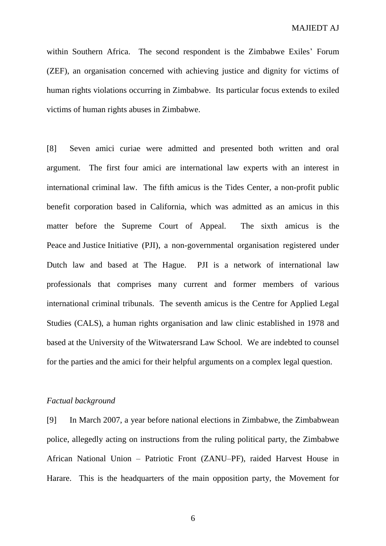within Southern Africa. The second respondent is the Zimbabwe Exiles' Forum (ZEF), an organisation concerned with achieving justice and dignity for victims of human rights violations occurring in Zimbabwe. Its particular focus extends to exiled victims of human rights abuses in Zimbabwe.

[8] Seven amici curiae were admitted and presented both written and oral argument. The first four amici are international law experts with an interest in international criminal law. The fifth amicus is the Tides Center, a non-profit public benefit corporation based in California, which was admitted as an amicus in this matter before the Supreme Court of Appeal. The sixth amicus is the Peace and Justice Initiative (PJI), a non-governmental organisation registered under Dutch law and based at The Hague. PJI is a network of international law professionals that comprises many current and former members of various international criminal tribunals. The seventh amicus is the Centre for Applied Legal Studies (CALS), a human rights organisation and law clinic established in 1978 and based at the University of the Witwatersrand Law School. We are indebted to counsel for the parties and the amici for their helpful arguments on a complex legal question.

#### *Factual background*

[9] In March 2007, a year before national elections in Zimbabwe, the Zimbabwean police, allegedly acting on instructions from the ruling political party, the Zimbabwe African National Union – Patriotic Front (ZANU–PF), raided Harvest House in Harare. This is the headquarters of the main opposition party, the Movement for

6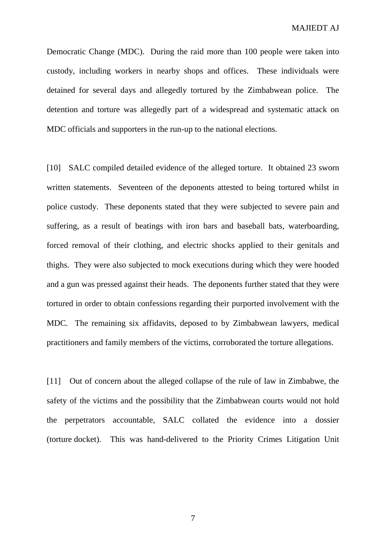Democratic Change (MDC). During the raid more than 100 people were taken into custody, including workers in nearby shops and offices. These individuals were detained for several days and allegedly tortured by the Zimbabwean police. The detention and torture was allegedly part of a widespread and systematic attack on MDC officials and supporters in the run-up to the national elections.

[10] SALC compiled detailed evidence of the alleged torture. It obtained 23 sworn written statements. Seventeen of the deponents attested to being tortured whilst in police custody. These deponents stated that they were subjected to severe pain and suffering, as a result of beatings with iron bars and baseball bats, waterboarding, forced removal of their clothing, and electric shocks applied to their genitals and thighs. They were also subjected to mock executions during which they were hooded and a gun was pressed against their heads. The deponents further stated that they were tortured in order to obtain confessions regarding their purported involvement with the MDC. The remaining six affidavits, deposed to by Zimbabwean lawyers, medical practitioners and family members of the victims, corroborated the torture allegations.

[11] Out of concern about the alleged collapse of the rule of law in Zimbabwe, the safety of the victims and the possibility that the Zimbabwean courts would not hold the perpetrators accountable, SALC collated the evidence into a dossier (torture docket). This was hand-delivered to the Priority Crimes Litigation Unit

7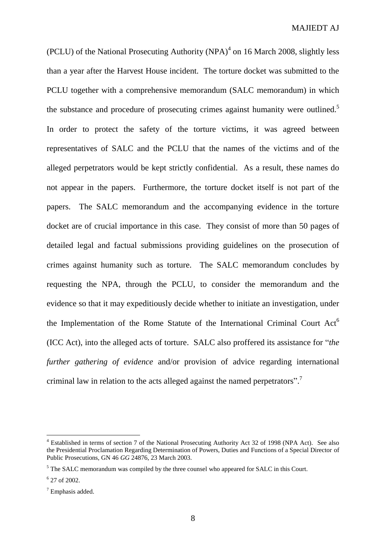(PCLU) of the National Prosecuting Authority  $(NPA)^4$  on 16 March 2008, slightly less than a year after the Harvest House incident. The torture docket was submitted to the PCLU together with a comprehensive memorandum (SALC memorandum) in which the substance and procedure of prosecuting crimes against humanity were outlined.<sup>5</sup> In order to protect the safety of the torture victims, it was agreed between representatives of SALC and the PCLU that the names of the victims and of the alleged perpetrators would be kept strictly confidential. As a result, these names do not appear in the papers. Furthermore, the torture docket itself is not part of the papers. The SALC memorandum and the accompanying evidence in the torture docket are of crucial importance in this case. They consist of more than 50 pages of detailed legal and factual submissions providing guidelines on the prosecution of crimes against humanity such as torture. The SALC memorandum concludes by requesting the NPA, through the PCLU, to consider the memorandum and the evidence so that it may expeditiously decide whether to initiate an investigation, under the Implementation of the Rome Statute of the International Criminal Court  $Act<sup>6</sup>$ (ICC Act), into the alleged acts of torture. SALC also proffered its assistance for "*the further gathering of evidence* and/or provision of advice regarding international criminal law in relation to the acts alleged against the named perpetrators".<sup>7</sup>

<sup>4</sup> Established in terms of section 7 of the National Prosecuting Authority Act 32 of 1998 (NPA Act). See also the Presidential Proclamation Regarding Determination of Powers, Duties and Functions of a Special Director of Public Prosecutions, GN 46 *GG* 24876, 23 March 2003.

<sup>&</sup>lt;sup>5</sup> The SALC memorandum was compiled by the three counsel who appeared for SALC in this Court.

<sup>6</sup> 27 of 2002.

<sup>7</sup> Emphasis added.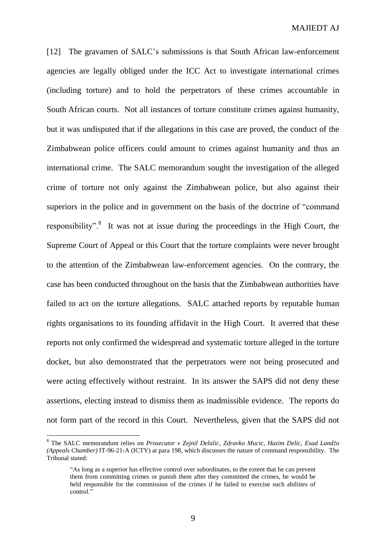[12] The gravamen of SALC's submissions is that South African law-enforcement agencies are legally obliged under the ICC Act to investigate international crimes (including torture) and to hold the perpetrators of these crimes accountable in South African courts. Not all instances of torture constitute crimes against humanity, but it was undisputed that if the allegations in this case are proved, the conduct of the Zimbabwean police officers could amount to crimes against humanity and thus an international crime. The SALC memorandum sought the investigation of the alleged crime of torture not only against the Zimbabwean police, but also against their superiors in the police and in government on the basis of the doctrine of "command responsibility".<sup>8</sup> It was not at issue during the proceedings in the High Court, the Supreme Court of Appeal or this Court that the torture complaints were never brought to the attention of the Zimbabwean law-enforcement agencies. On the contrary, the case has been conducted throughout on the basis that the Zimbabwean authorities have failed to act on the torture allegations. SALC attached reports by reputable human rights organisations to its founding affidavit in the High Court. It averred that these reports not only confirmed the widespread and systematic torture alleged in the torture docket, but also demonstrated that the perpetrators were not being prosecuted and were acting effectively without restraint. In its answer the SAPS did not deny these assertions, electing instead to dismiss them as inadmissible evidence. The reports do not form part of the record in this Court. Nevertheless, given that the SAPS did not

<sup>8</sup> The SALC memorandum relies on *Prosecutor v Zejnil Delalic, Zdravko Mucic, Hazim Delic, Esad Landžo (Appeals Chamber)* IT-96-21-A (ICTY) at para 198, which discusses the nature of command responsibility. The Tribunal stated:

<sup>&</sup>quot;As long as a superior has effective control over subordinates, to the extent that he can prevent them from committing crimes or punish them after they committed the crimes, he would be held responsible for the commission of the crimes if he failed to exercise such abilities of control."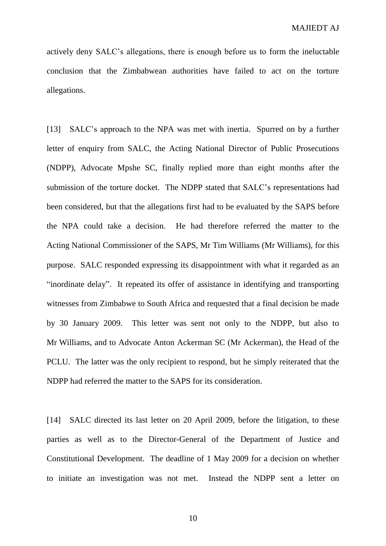actively deny SALC's allegations, there is enough before us to form the ineluctable conclusion that the Zimbabwean authorities have failed to act on the torture allegations.

[13] SALC's approach to the NPA was met with inertia. Spurred on by a further letter of enquiry from SALC, the Acting National Director of Public Prosecutions (NDPP), Advocate Mpshe SC, finally replied more than eight months after the submission of the torture docket. The NDPP stated that SALC's representations had been considered, but that the allegations first had to be evaluated by the SAPS before the NPA could take a decision. He had therefore referred the matter to the Acting National Commissioner of the SAPS, Mr Tim Williams (Mr Williams), for this purpose. SALC responded expressing its disappointment with what it regarded as an "inordinate delay". It repeated its offer of assistance in identifying and transporting witnesses from Zimbabwe to South Africa and requested that a final decision be made by 30 January 2009. This letter was sent not only to the NDPP, but also to Mr Williams, and to Advocate Anton Ackerman SC (Mr Ackerman), the Head of the PCLU. The latter was the only recipient to respond, but he simply reiterated that the NDPP had referred the matter to the SAPS for its consideration.

[14] SALC directed its last letter on 20 April 2009, before the litigation, to these parties as well as to the Director-General of the Department of Justice and Constitutional Development. The deadline of 1 May 2009 for a decision on whether to initiate an investigation was not met. Instead the NDPP sent a letter on

10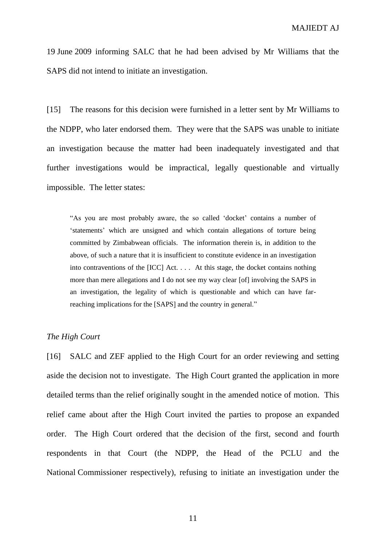19 June 2009 informing SALC that he had been advised by Mr Williams that the SAPS did not intend to initiate an investigation.

[15] The reasons for this decision were furnished in a letter sent by Mr Williams to the NDPP, who later endorsed them. They were that the SAPS was unable to initiate an investigation because the matter had been inadequately investigated and that further investigations would be impractical, legally questionable and virtually impossible. The letter states:

"As you are most probably aware, the so called 'docket' contains a number of 'statements' which are unsigned and which contain allegations of torture being committed by Zimbabwean officials. The information therein is, in addition to the above, of such a nature that it is insufficient to constitute evidence in an investigation into contraventions of the [ICC] Act. . . . At this stage, the docket contains nothing more than mere allegations and I do not see my way clear [of] involving the SAPS in an investigation, the legality of which is questionable and which can have farreaching implications for the [SAPS] and the country in general."

#### *The High Court*

[16] SALC and ZEF applied to the High Court for an order reviewing and setting aside the decision not to investigate. The High Court granted the application in more detailed terms than the relief originally sought in the amended notice of motion. This relief came about after the High Court invited the parties to propose an expanded order. The High Court ordered that the decision of the first, second and fourth respondents in that Court (the NDPP, the Head of the PCLU and the National Commissioner respectively), refusing to initiate an investigation under the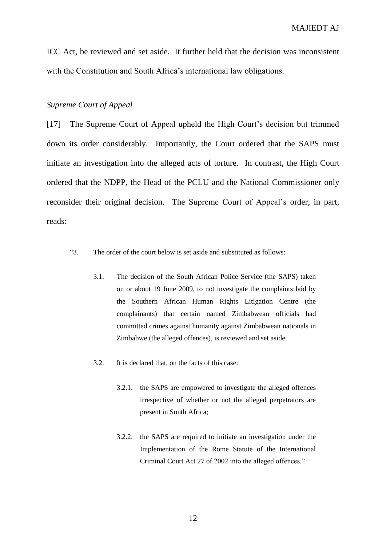ICC Act, be reviewed and set aside. It further held that the decision was inconsistent with the Constitution and South Africa's international law obligations.

#### *Supreme Court of Appeal*

[17] The Supreme Court of Appeal upheld the High Court's decision but trimmed down its order considerably. Importantly, the Court ordered that the SAPS must initiate an investigation into the alleged acts of torture. In contrast, the High Court ordered that the NDPP, the Head of the PCLU and the National Commissioner only reconsider their original decision. The Supreme Court of Appeal's order, in part, reads:

- "3. The order of the court below is set aside and substituted as follows:
	- 3.1. The decision of the South African Police Service (the SAPS) taken on or about 19 June 2009, to not investigate the complaints laid by the Southern African Human Rights Litigation Centre (the complainants) that certain named Zimbabwean officials had committed crimes against humanity against Zimbabwean nationals in Zimbabwe (the alleged offences), is reviewed and set aside.
	- 3.2. It is declared that, on the facts of this case:
		- 3.2.1. the SAPS are empowered to investigate the alleged offences irrespective of whether or not the alleged perpetrators are present in South Africa;
		- 3.2.2. the SAPS are required to initiate an investigation under the Implementation of the Rome Statute of the International Criminal Court Act 27 of 2002 into the alleged offences."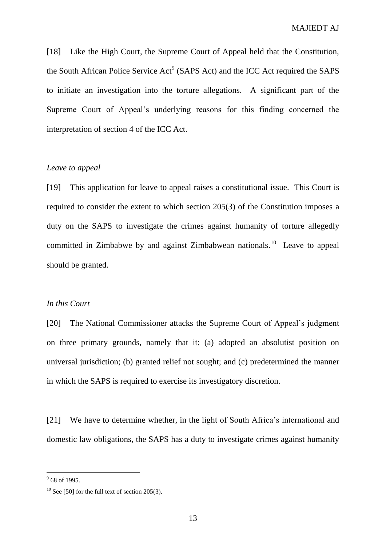[18] Like the High Court, the Supreme Court of Appeal held that the Constitution, the South African Police Service  $Act^9$  (SAPS Act) and the ICC Act required the SAPS to initiate an investigation into the torture allegations. A significant part of the Supreme Court of Appeal's underlying reasons for this finding concerned the interpretation of section 4 of the ICC Act.

#### *Leave to appeal*

[19] This application for leave to appeal raises a constitutional issue. This Court is required to consider the extent to which section 205(3) of the Constitution imposes a duty on the SAPS to investigate the crimes against humanity of torture allegedly committed in Zimbabwe by and against Zimbabwean nationals.<sup>10</sup> Leave to appeal should be granted.

#### *In this Court*

[20] The National Commissioner attacks the Supreme Court of Appeal's judgment on three primary grounds, namely that it: (a) adopted an absolutist position on universal jurisdiction; (b) granted relief not sought; and (c) predetermined the manner in which the SAPS is required to exercise its investigatory discretion.

[21] We have to determine whether, in the light of South Africa's international and domestic law obligations, the SAPS has a duty to investigate crimes against humanity

 $\frac{9}{9}$  68 of 1995.

 $10$  See [50] for the full text of section 205(3).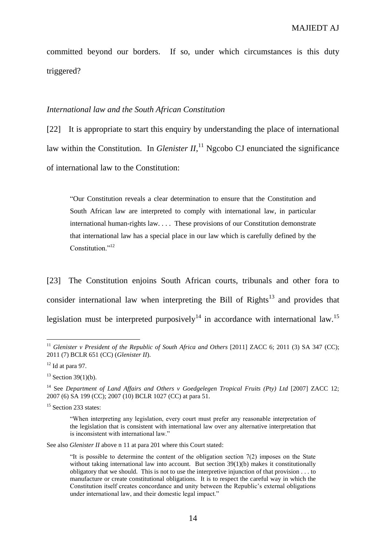committed beyond our borders. If so, under which circumstances is this duty triggered?

#### *International law and the South African Constitution*

[22] It is appropriate to start this enquiry by understanding the place of international law within the Constitution. In *Glenister II*,<sup>11</sup> Ngcobo CJ enunciated the significance of international law to the Constitution:

"Our Constitution reveals a clear determination to ensure that the Constitution and South African law are interpreted to comply with international law, in particular international human-rights law. . . . These provisions of our Constitution demonstrate that international law has a special place in our law which is carefully defined by the Constitution<sup>"12</sup>

[23] The Constitution enjoins South African courts, tribunals and other fora to consider international law when interpreting the Bill of  $\text{Right}^{13}$  and provides that legislation must be interpreted purposively<sup>14</sup> in accordance with international law.<sup>15</sup>

 $\overline{a}$ 

See also *Glenister II* above n 11 at para 201 where this Court stated:

<sup>&</sup>lt;sup>11</sup> Glenister v President of the Republic of South Africa and Others [2011] ZACC 6; 2011 (3) SA 347 (CC); 2011 (7) BCLR 651 (CC) (*Glenister II*).

 $12$  Id at para 97.

 $13$  Section 39(1)(b).

<sup>14</sup> See *Department of Land Affairs and Others v Goedgelegen Tropical Fruits (Pty) Ltd* [2007] ZACC 12; 2007 (6) SA 199 (CC); 2007 (10) BCLR 1027 (CC) at para 51.

<sup>&</sup>lt;sup>15</sup> Section 233 states:

<sup>&</sup>quot;When interpreting any legislation, every court must prefer any reasonable interpretation of the legislation that is consistent with international law over any alternative interpretation that is inconsistent with international law."

<sup>&</sup>quot;It is possible to determine the content of the obligation section 7(2) imposes on the State without taking international law into account. But section 39(1)(b) makes it constitutionally obligatory that we should. This is not to use the interpretive injunction of that provision . . . to manufacture or create constitutional obligations. It is to respect the careful way in which the Constitution itself creates concordance and unity between the Republic's external obligations under international law, and their domestic legal impact."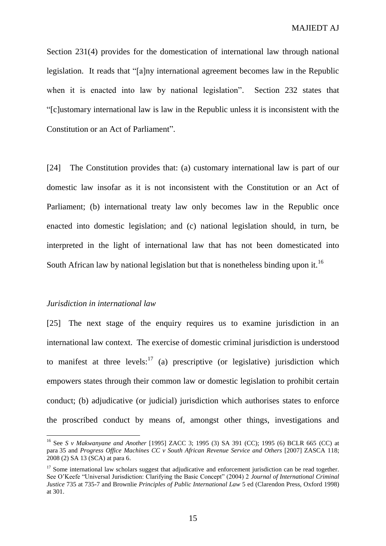Section 231(4) provides for the domestication of international law through national legislation. It reads that "[a]ny international agreement becomes law in the Republic when it is enacted into law by national legislation". Section 232 states that "[c]ustomary international law is law in the Republic unless it is inconsistent with the Constitution or an Act of Parliament".

[24] The Constitution provides that: (a) customary international law is part of our domestic law insofar as it is not inconsistent with the Constitution or an Act of Parliament; (b) international treaty law only becomes law in the Republic once enacted into domestic legislation; and (c) national legislation should, in turn, be interpreted in the light of international law that has not been domesticated into South African law by national legislation but that is nonetheless binding upon it.<sup>16</sup>

#### *Jurisdiction in international law*

 $\overline{a}$ 

[25] The next stage of the enquiry requires us to examine jurisdiction in an international law context. The exercise of domestic criminal jurisdiction is understood to manifest at three levels:<sup>17</sup> (a) prescriptive (or legislative) jurisdiction which empowers states through their common law or domestic legislation to prohibit certain conduct; (b) adjudicative (or judicial) jurisdiction which authorises states to enforce the proscribed conduct by means of, amongst other things, investigations and

<sup>16</sup> See *S v Makwanyane and Another* [1995] ZACC 3; 1995 (3) SA 391 (CC); 1995 (6) BCLR 665 (CC) at para 35 and *Progress Office Machines CC v South African Revenue Service and Others* [2007] ZASCA 118; 2008 (2) SA 13 (SCA) at para 6.

 $17$  Some international law scholars suggest that adjudicative and enforcement jurisdiction can be read together. See O'Keefe "Universal Jurisdiction: Clarifying the Basic Concept" (2004) 2 *Journal of International Criminal Justice* 735 at 735-7 and Brownlie *Principles of Public International Law* 5 ed (Clarendon Press, Oxford 1998) at 301.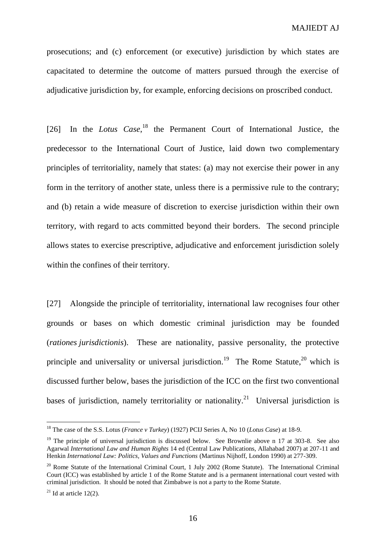prosecutions; and (c) enforcement (or executive) jurisdiction by which states are capacitated to determine the outcome of matters pursued through the exercise of adjudicative jurisdiction by, for example, enforcing decisions on proscribed conduct.

[26] In the *Lotus Case*<sup>18</sup>, the Permanent Court of International Justice, the predecessor to the International Court of Justice, laid down two complementary principles of territoriality, namely that states: (a) may not exercise their power in any form in the territory of another state, unless there is a permissive rule to the contrary; and (b) retain a wide measure of discretion to exercise jurisdiction within their own territory, with regard to acts committed beyond their borders. The second principle allows states to exercise prescriptive, adjudicative and enforcement jurisdiction solely within the confines of their territory.

[27] Alongside the principle of territoriality, international law recognises four other grounds or bases on which domestic criminal jurisdiction may be founded (*rationes jurisdictionis*). These are nationality, passive personality, the protective principle and universality or universal jurisdiction.<sup>19</sup> The Rome Statute,  $20$  which is discussed further below, bases the jurisdiction of the ICC on the first two conventional bases of jurisdiction, namely territoriality or nationality.<sup>21</sup> Universal jurisdiction is

<sup>18</sup> The case of the S.S. Lotus (*France v Turkey*) (1927) PCIJ Series A, No 10 (*Lotus Case*) at 18-9.

<sup>&</sup>lt;sup>19</sup> The principle of universal jurisdiction is discussed below. See Brownlie above n 17 at 303-8. See also Agarwal *International Law and Human Rights* 14 ed (Central Law Publications, Allahabad 2007) at 207-11 and Henkin *International Law: Politics, Values and Functions* (Martinus Nijhoff, London 1990) at 277-309.

<sup>&</sup>lt;sup>20</sup> Rome Statute of the International Criminal Court, 1 July 2002 (Rome Statute). The International Criminal Court (ICC) was established by article 1 of the Rome Statute and is a permanent international court vested with criminal jurisdiction. It should be noted that Zimbabwe is not a party to the Rome Statute.

 $21$  Id at article 12(2).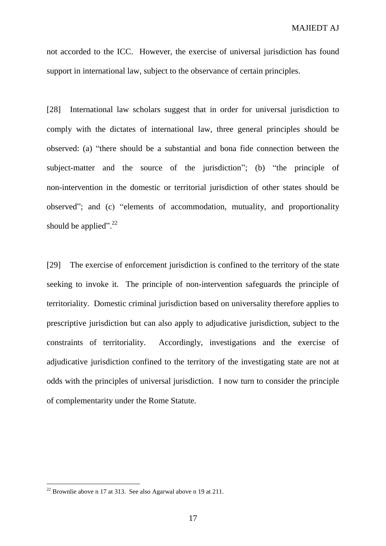not accorded to the ICC. However, the exercise of universal jurisdiction has found support in international law, subject to the observance of certain principles.

[28] International law scholars suggest that in order for universal jurisdiction to comply with the dictates of international law, three general principles should be observed: (a) "there should be a substantial and bona fide connection between the subject-matter and the source of the jurisdiction"; (b) "the principle of non-intervention in the domestic or territorial jurisdiction of other states should be observed"; and (c) "elements of accommodation, mutuality, and proportionality should be applied".<sup>22</sup>

[29] The exercise of enforcement jurisdiction is confined to the territory of the state seeking to invoke it. The principle of non-intervention safeguards the principle of territoriality. Domestic criminal jurisdiction based on universality therefore applies to prescriptive jurisdiction but can also apply to adjudicative jurisdiction, subject to the constraints of territoriality. Accordingly, investigations and the exercise of adjudicative jurisdiction confined to the territory of the investigating state are not at odds with the principles of universal jurisdiction. I now turn to consider the principle of complementarity under the Rome Statute.

 $22$  Brownlie above n 17 at 313. See also Agarwal above n 19 at 211.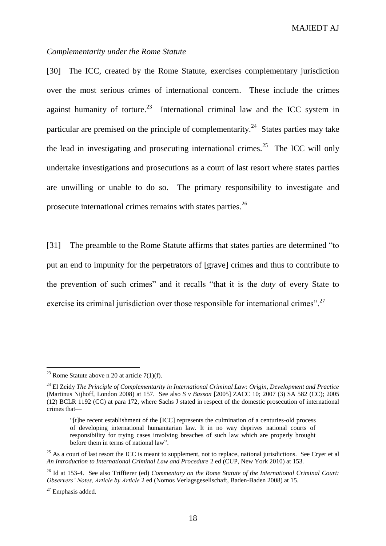MAJIEDT AJ

#### *Complementarity under the Rome Statute*

[30] The ICC, created by the Rome Statute, exercises complementary jurisdiction over the most serious crimes of international concern. These include the crimes against humanity of torture.<sup>23</sup> International criminal law and the ICC system in particular are premised on the principle of complementarity.<sup>24</sup> States parties may take the lead in investigating and prosecuting international crimes.<sup>25</sup> The ICC will only undertake investigations and prosecutions as a court of last resort where states parties are unwilling or unable to do so. The primary responsibility to investigate and prosecute international crimes remains with states parties.<sup>26</sup>

[31] The preamble to the Rome Statute affirms that states parties are determined "to put an end to impunity for the perpetrators of [grave] crimes and thus to contribute to the prevention of such crimes" and it recalls "that it is the *duty* of every State to exercise its criminal jurisdiction over those responsible for international crimes".<sup>27</sup>

<sup>&</sup>lt;sup>23</sup> Rome Statute above n 20 at article  $7(1)(f)$ .

<sup>24</sup> El Zeidy *The Principle of Complementarity in International Criminal Law: Origin, Development and Practice* (Martinus Nijhoff, London 2008) at 157. See also *S v Basson* [2005] ZACC 10; 2007 (3) SA 582 (CC); 2005 (12) BCLR 1192 (CC) at para 172, where Sachs J stated in respect of the domestic prosecution of international crimes that—

<sup>&</sup>quot;[t]he recent establishment of the [ICC] represents the culmination of a centuries-old process of developing international humanitarian law. It in no way deprives national courts of responsibility for trying cases involving breaches of such law which are properly brought before them in terms of national law".

<sup>&</sup>lt;sup>25</sup> As a court of last resort the ICC is meant to supplement, not to replace, national jurisdictions. See Cryer et al *An Introduction to International Criminal Law and Procedure* 2 ed (CUP, New York 2010) at 153.

<sup>26</sup> Id at 153-4. See also Triffterer (ed) *Commentary on the Rome Statute of the International Criminal Court: Observers' Notes, Article by Article* 2 ed (Nomos Verlagsgesellschaft, Baden-Baden 2008) at 15.

 $27$  Emphasis added.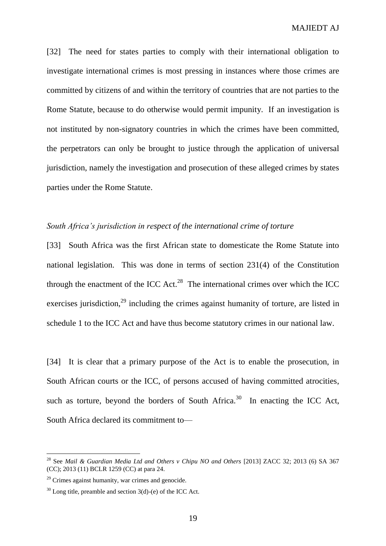[32] The need for states parties to comply with their international obligation to investigate international crimes is most pressing in instances where those crimes are committed by citizens of and within the territory of countries that are not parties to the Rome Statute, because to do otherwise would permit impunity. If an investigation is not instituted by non-signatory countries in which the crimes have been committed, the perpetrators can only be brought to justice through the application of universal jurisdiction, namely the investigation and prosecution of these alleged crimes by states parties under the Rome Statute.

#### *South Africa's jurisdiction in respect of the international crime of torture*

[33] South Africa was the first African state to domesticate the Rome Statute into national legislation. This was done in terms of section 231(4) of the Constitution through the enactment of the ICC Act.<sup>28</sup> The international crimes over which the ICC exercises jurisdiction,<sup>29</sup> including the crimes against humanity of torture, are listed in schedule 1 to the ICC Act and have thus become statutory crimes in our national law.

[34] It is clear that a primary purpose of the Act is to enable the prosecution, in South African courts or the ICC, of persons accused of having committed atrocities, such as torture, beyond the borders of South Africa. $30$  In enacting the ICC Act, South Africa declared its commitment to—

<sup>28</sup> See *Mail & Guardian Media Ltd and Others v Chipu NO and Others* [2013] ZACC 32; 2013 (6) SA 367 (CC); 2013 (11) BCLR 1259 (CC) at para 24.

 $29$  Crimes against humanity, war crimes and genocide.

 $30$  Long title, preamble and section 3(d)-(e) of the ICC Act.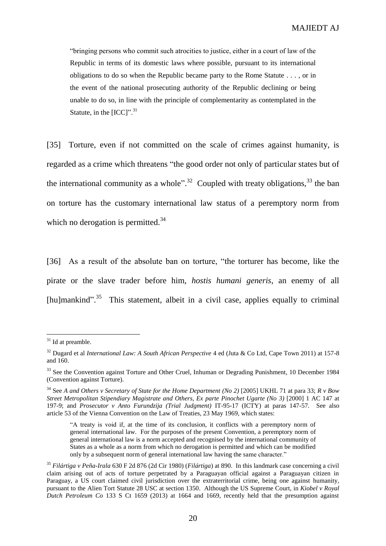"bringing persons who commit such atrocities to justice, either in a court of law of the Republic in terms of its domestic laws where possible, pursuant to its international obligations to do so when the Republic became party to the Rome Statute . . . , or in the event of the national prosecuting authority of the Republic declining or being unable to do so, in line with the principle of complementarity as contemplated in the Statute, in the  $[ICC]$ ".<sup>31</sup>

[35] Torture, even if not committed on the scale of crimes against humanity, is regarded as a crime which threatens "the good order not only of particular states but of the international community as a whole".<sup>32</sup> Coupled with treaty obligations,  $33$  the ban on torture has the customary international law status of a peremptory norm from which no derogation is permitted. $34$ 

[36] As a result of the absolute ban on torture, "the torturer has become, like the pirate or the slave trader before him, *hostis humani generis*, an enemy of all [hu]mankind".<sup>35</sup> This statement, albeit in a civil case, applies equally to criminal

 $31$  Id at preamble.

<sup>&</sup>lt;sup>32</sup> Dugard et al *International Law: A South African Perspective* 4 ed (Juta & Co Ltd, Cape Town 2011) at 157-8 and 160.

<sup>&</sup>lt;sup>33</sup> See the Convention against Torture and Other Cruel, Inhuman or Degrading Punishment, 10 December 1984 (Convention against Torture).

<sup>34</sup> See *A and Others v Secretary of State for the Home Department (No 2)* [2005] UKHL 71 at para 33; *R v Bow Street Metropolitan Stipendiary Magistrate and Others, Ex parte Pinochet Ugarte (No 3)* [2000] 1 AC 147 at 197-9; and *Prosecutor v Anto Furundzija (Trial Judgment)* IT-95-17 (ICTY) at paras 147-57*.* See also article 53 of the Vienna Convention on the Law of Treaties, 23 May 1969, which states:

<sup>&</sup>quot;A treaty is void if, at the time of its conclusion, it conflicts with a peremptory norm of general international law. For the purposes of the present Convention, a peremptory norm of general international law is a norm accepted and recognised by the international community of States as a whole as a norm from which no derogation is permitted and which can be modified only by a subsequent norm of general international law having the same character."

<sup>35</sup> *Filártiga v Peña-Irala* 630 F 2d 876 (2d Cir 1980) (*Filártiga*) at 890. In this landmark case concerning a civil claim arising out of acts of torture perpetrated by a Paraguayan official against a Paraguayan citizen in Paraguay, a US court claimed civil jurisdiction over the extraterritorial crime, being one against humanity, pursuant to the Alien Tort Statute 28 USC at section 1350. Although the US Supreme Court, in *Kiobel v Royal Dutch Petroleum Co* 133 S Ct 1659 (2013) at 1664 and 1669, recently held that the presumption against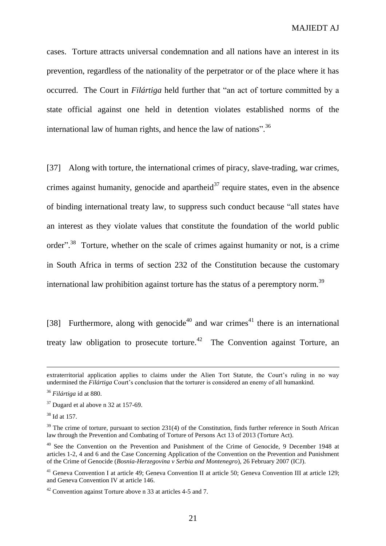cases. Torture attracts universal condemnation and all nations have an interest in its prevention, regardless of the nationality of the perpetrator or of the place where it has occurred. The Court in *Filártiga* held further that "an act of torture committed by a state official against one held in detention violates established norms of the international law of human rights, and hence the law of nations".<sup>36</sup>

[37] Along with torture, the international crimes of piracy, slave-trading, war crimes, crimes against humanity, genocide and apartheid<sup>37</sup> require states, even in the absence of binding international treaty law, to suppress such conduct because "all states have an interest as they violate values that constitute the foundation of the world public order"<sup>38</sup> Torture, whether on the scale of crimes against humanity or not, is a crime in South Africa in terms of section 232 of the Constitution because the customary international law prohibition against torture has the status of a peremptory norm.<sup>39</sup>

[38] Furthermore, along with genocide<sup>40</sup> and war crimes<sup>41</sup> there is an international treaty law obligation to prosecute torture.<sup>42</sup> The Convention against Torture, an

<sup>38</sup> Id at 157.

extraterritorial application applies to claims under the Alien Tort Statute, the Court's ruling in no way undermined the *Filártiga* Court's conclusion that the torturer is considered an enemy of all humankind.

<sup>36</sup> *Filártiga* id at 880.

 $37$  Dugard et al above n 32 at 157-69.

 $39$  The crime of torture, pursuant to section 231(4) of the Constitution, finds further reference in South African law through the Prevention and Combating of Torture of Persons Act 13 of 2013 (Torture Act).

<sup>&</sup>lt;sup>40</sup> See the Convention on the Prevention and Punishment of the Crime of Genocide, 9 December 1948 at articles 1-2, 4 and 6 and the Case Concerning Application of the Convention on the Prevention and Punishment of the Crime of Genocide (*Bosnia-Herzegovina v Serbia and Montenegro*), 26 February 2007 (ICJ).

<sup>&</sup>lt;sup>41</sup> Geneva Convention I at article 49; Geneva Convention II at article 50; Geneva Convention III at article 129; and Geneva Convention IV at article 146.

<sup>42</sup> Convention against Torture above n 33 at articles 4-5 and 7.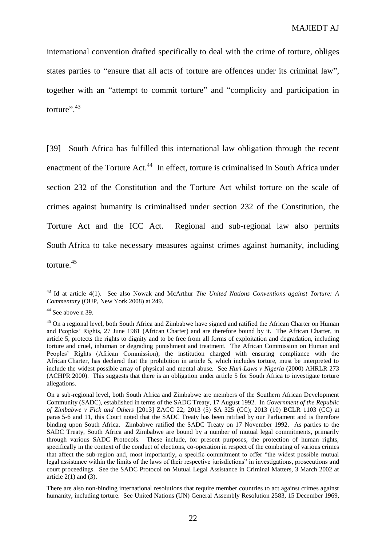international convention drafted specifically to deal with the crime of torture, obliges states parties to "ensure that all acts of torture are offences under its criminal law", together with an "attempt to commit torture" and "complicity and participation in torture".<sup>43</sup>

[39] South Africa has fulfilled this international law obligation through the recent enactment of the Torture Act.<sup>44</sup> In effect, torture is criminalised in South Africa under section 232 of the Constitution and the Torture Act whilst torture on the scale of crimes against humanity is criminalised under section 232 of the Constitution, the Torture Act and the ICC Act. Regional and sub-regional law also permits South Africa to take necessary measures against crimes against humanity, including torture.<sup>45</sup>

<sup>43</sup> Id at article 4(1). See also Nowak and McArthur *The United Nations Conventions against Torture: A Commentary* (OUP, New York 2008) at 249.

 $44$  See above n 39.

<sup>&</sup>lt;sup>45</sup> On a regional level, both South Africa and Zimbabwe have signed and ratified the African Charter on Human and Peoples' Rights, 27 June 1981 (African Charter) and are therefore bound by it. The African Charter, in article 5, protects the rights to dignity and to be free from all forms of exploitation and degradation, including torture and cruel, inhuman or degrading punishment and treatment. The African Commission on Human and Peoples' Rights (African Commission), the institution charged with ensuring compliance with the African Charter, has declared that the prohibition in article 5, which includes torture, must be interpreted to include the widest possible array of physical and mental abuse. See *Huri-Laws v Nigeria* (2000) AHRLR 273 (ACHPR 2000). This suggests that there is an obligation under article 5 for South Africa to investigate torture allegations.

On a sub-regional level, both South Africa and Zimbabwe are members of the Southern African Development Community (SADC), established in terms of the SADC Treaty, 17 August 1992. In *Government of the Republic of Zimbabwe v Fick and Others* [2013] ZACC 22; 2013 (5) SA 325 (CC); 2013 (10) BCLR 1103 (CC) at paras 5-6 and 11, this Court noted that the SADC Treaty has been ratified by our Parliament and is therefore binding upon South Africa. Zimbabwe ratified the SADC Treaty on 17 November 1992. As parties to the SADC Treaty, South Africa and Zimbabwe are bound by a number of mutual legal commitments, primarily through various SADC Protocols. These include, for present purposes, the protection of human rights, specifically in the context of the conduct of elections, co-operation in respect of the combating of various crimes that affect the sub-region and, most importantly, a specific commitment to offer "the widest possible mutual legal assistance within the limits of the laws of their respective jurisdictions" in investigations, prosecutions and court proceedings. See the SADC Protocol on Mutual Legal Assistance in Criminal Matters, 3 March 2002 at article  $2(1)$  and  $(3)$ .

There are also non-binding international resolutions that require member countries to act against crimes against humanity, including torture. See United Nations (UN) General Assembly Resolution 2583, 15 December 1969,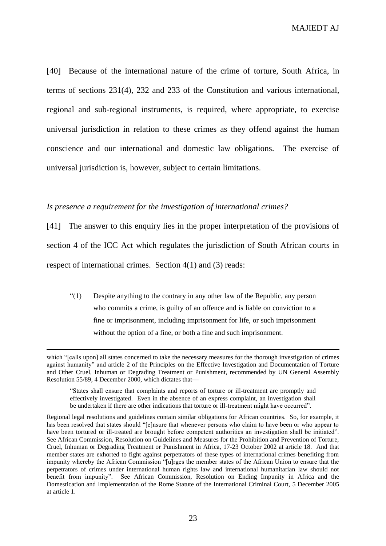MAJIEDT AJ

[40] Because of the international nature of the crime of torture, South Africa, in terms of sections 231(4), 232 and 233 of the Constitution and various international, regional and sub-regional instruments, is required, where appropriate, to exercise universal jurisdiction in relation to these crimes as they offend against the human conscience and our international and domestic law obligations. The exercise of universal jurisdiction is, however, subject to certain limitations.

#### *Is presence a requirement for the investigation of international crimes?*

 $\overline{a}$ 

[41] The answer to this enquiry lies in the proper interpretation of the provisions of section 4 of the ICC Act which regulates the jurisdiction of South African courts in respect of international crimes. Section 4(1) and (3) reads:

"(1) Despite anything to the contrary in any other law of the Republic, any person who commits a crime, is guilty of an offence and is liable on conviction to a fine or imprisonment, including imprisonment for life, or such imprisonment without the option of a fine, or both a fine and such imprisonment.

which "[calls upon] all states concerned to take the necessary measures for the thorough investigation of crimes against humanity" and article 2 of the Principles on the Effective Investigation and Documentation of Torture and Other Cruel, Inhuman or Degrading Treatment or Punishment, recommended by UN General Assembly Resolution 55/89, 4 December 2000, which dictates that—

<sup>&</sup>quot;States shall ensure that complaints and reports of torture or ill-treatment are promptly and effectively investigated. Even in the absence of an express complaint, an investigation shall be undertaken if there are other indications that torture or ill-treatment might have occurred".

Regional legal resolutions and guidelines contain similar obligations for African countries. So, for example, it has been resolved that states should "[e]nsure that whenever persons who claim to have been or who appear to have been tortured or ill-treated are brought before competent authorities an investigation shall be initiated". See African Commission, Resolution on Guidelines and Measures for the Prohibition and Prevention of Torture, Cruel, Inhuman or Degrading Treatment or Punishment in Africa, 17-23 October 2002 at article 18. And that member states are exhorted to fight against perpetrators of these types of international crimes benefiting from impunity whereby the African Commission "[u]rges the member states of the African Union to ensure that the perpetrators of crimes under international human rights law and international humanitarian law should not benefit from impunity". See African Commission, Resolution on Ending Impunity in Africa and the Domestication and Implementation of the Rome Statute of the International Criminal Court, 5 December 2005 at article 1.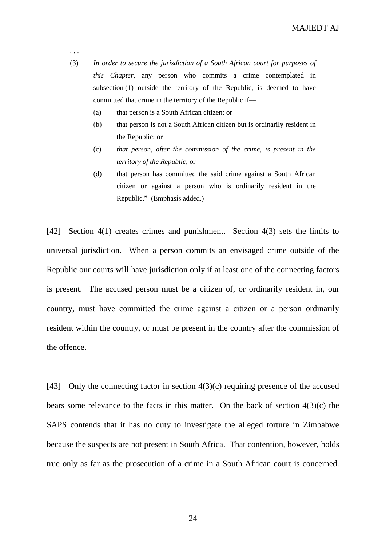. . .

(3) *In order to secure the jurisdiction of a South African court for purposes of this Chapter*, any person who commits a crime contemplated in subsection (1) outside the territory of the Republic, is deemed to have committed that crime in the territory of the Republic if––

- (a) that person is a South African citizen; or
- (b) that person is not a South African citizen but is ordinarily resident in the Republic; or
- (c) *that person, after the commission of the crime, is present in the territory of the Republic*; or
- (d) that person has committed the said crime against a South African citizen or against a person who is ordinarily resident in the Republic." (Emphasis added.)

[42] Section 4(1) creates crimes and punishment. Section 4(3) sets the limits to universal jurisdiction. When a person commits an envisaged crime outside of the Republic our courts will have jurisdiction only if at least one of the connecting factors is present. The accused person must be a citizen of, or ordinarily resident in, our country, must have committed the crime against a citizen or a person ordinarily resident within the country, or must be present in the country after the commission of the offence.

[43] Only the connecting factor in section 4(3)(c) requiring presence of the accused bears some relevance to the facts in this matter. On the back of section 4(3)(c) the SAPS contends that it has no duty to investigate the alleged torture in Zimbabwe because the suspects are not present in South Africa. That contention, however, holds true only as far as the prosecution of a crime in a South African court is concerned.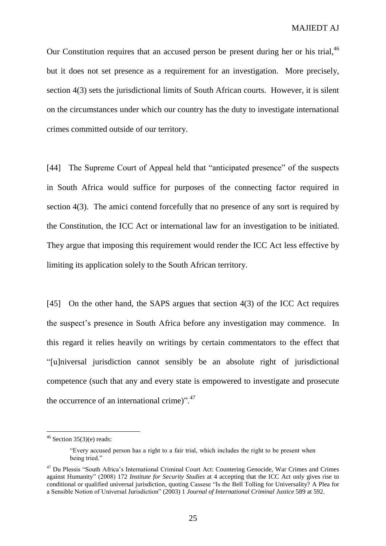Our Constitution requires that an accused person be present during her or his trial,<sup>46</sup> but it does not set presence as a requirement for an investigation. More precisely, section 4(3) sets the jurisdictional limits of South African courts. However, it is silent on the circumstances under which our country has the duty to investigate international crimes committed outside of our territory.

[44] The Supreme Court of Appeal held that "anticipated presence" of the suspects in South Africa would suffice for purposes of the connecting factor required in section 4(3). The amici contend forcefully that no presence of any sort is required by the Constitution, the ICC Act or international law for an investigation to be initiated. They argue that imposing this requirement would render the ICC Act less effective by limiting its application solely to the South African territory.

[45] On the other hand, the SAPS argues that section 4(3) of the ICC Act requires the suspect's presence in South Africa before any investigation may commence. In this regard it relies heavily on writings by certain commentators to the effect that "[u]niversal jurisdiction cannot sensibly be an absolute right of jurisdictional competence (such that any and every state is empowered to investigate and prosecute the occurrence of an international crime)".<sup>47</sup>

 $46$  Section 35(3)(e) reads:

<sup>&</sup>quot;Every accused person has a right to a fair trial, which includes the right to be present when being tried."

<sup>&</sup>lt;sup>47</sup> Du Plessis "South Africa's International Criminal Court Act: Countering Genocide, War Crimes and Crimes against Humanity" (2008) 172 *Institute for Security Studies* at 4 accepting that the ICC Act only gives rise to conditional or qualified universal jurisdiction, quoting Cassese "Is the Bell Tolling for Universality? A Plea for a Sensible Notion of Universal Jurisdiction" (2003) 1 *Journal of International Criminal Justice* 589 at 592.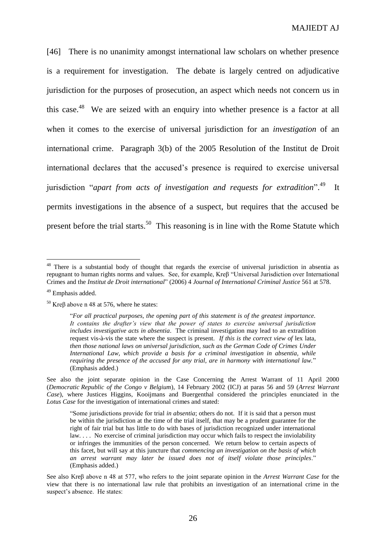[46] There is no unanimity amongst international law scholars on whether presence is a requirement for investigation. The debate is largely centred on adjudicative jurisdiction for the purposes of prosecution, an aspect which needs not concern us in this case.<sup>48</sup> We are seized with an enquiry into whether presence is a factor at all when it comes to the exercise of universal jurisdiction for an *investigation* of an international crime. Paragraph 3(b) of the 2005 Resolution of the Institut de Droit international declares that the accused's presence is required to exercise universal jurisdiction "*apart from acts of investigation and requests for extradition*". 49 It permits investigations in the absence of a suspect, but requires that the accused be present before the trial starts.<sup>50</sup> This reasoning is in line with the Rome Statute which

<sup>&</sup>lt;sup>48</sup> There is a substantial body of thought that regards the exercise of universal jurisdiction in absentia as repugnant to human rights norms and values. See, for example, Kreβ "Universal Jurisdiction over International Crimes and the *Institut de Droit international*" (2006) 4 *Journal of International Criminal Justice* 561 at 578.

<sup>49</sup> Emphasis added.

<sup>&</sup>lt;sup>50</sup> Kreβ above n 48 at 576, where he states:

<sup>&</sup>quot;*For all practical purposes, the opening part of this statement is of the greatest importance. It contains the drafter's view that the power of states to exercise universal jurisdiction includes investigative acts in absentia*. The criminal investigation may lead to an extradition request vis-à-vis the state where the suspect is present. *If this is the correct view of* lex lata*, then those national laws on universal jurisdiction, such as the German Code of Crimes Under International Law, which provide a basis for a criminal investigation in absentia, while requiring the presence of the accused for any trial, are in harmony with international law.*" (Emphasis added.)

See also the joint separate opinion in the Case Concerning the Arrest Warrant of 11 April 2000 (*Democratic Republic of the Congo v Belgium*), 14 February 2002 (ICJ) at paras 56 and 59 (*Arrest Warrant Case*), where Justices Higgins, Kooijmans and Buergenthal considered the principles enunciated in the *Lotus Case* for the investigation of international crimes and stated:

<sup>&</sup>quot;Some jurisdictions provide for trial *in absentia*; others do not. If it is said that a person must be within the jurisdiction at the time of the trial itself, that may be a prudent guarantee for the right of fair trial but has little to do with bases of jurisdiction recognized under international law.... No exercise of criminal jurisdiction may occur which fails to respect the inviolability or infringes the immunities of the person concerned. We return below to certain aspects of this facet, but will say at this juncture that *commencing an investigation on the basis of which an arrest warrant may later be issued does not of itself violate those principles*." (Emphasis added.)

See also Kreβ above n 48 at 577, who refers to the joint separate opinion in the *Arrest Warrant Case* for the view that there is no international law rule that prohibits an investigation of an international crime in the suspect's absence. He states: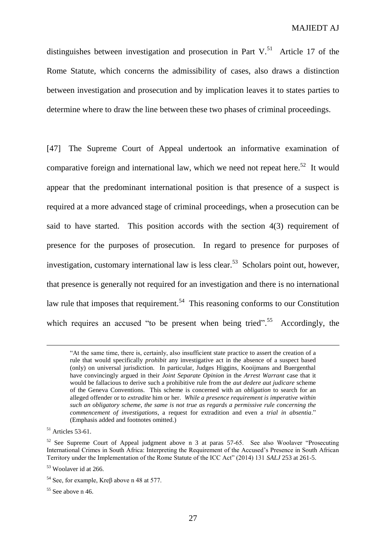distinguishes between investigation and prosecution in Part  $V<sup>51</sup>$  Article 17 of the Rome Statute, which concerns the admissibility of cases, also draws a distinction between investigation and prosecution and by implication leaves it to states parties to determine where to draw the line between these two phases of criminal proceedings.

[47] The Supreme Court of Appeal undertook an informative examination of comparative foreign and international law, which we need not repeat here.<sup>52</sup> It would appear that the predominant international position is that presence of a suspect is required at a more advanced stage of criminal proceedings, when a prosecution can be said to have started. This position accords with the section 4(3) requirement of presence for the purposes of prosecution. In regard to presence for purposes of investigation, customary international law is less clear.<sup>53</sup> Scholars point out, however, that presence is generally not required for an investigation and there is no international law rule that imposes that requirement.<sup>54</sup> This reasoning conforms to our Constitution which requires an accused "to be present when being tried".<sup>55</sup> Accordingly, the

<sup>&</sup>quot;At the same time, there is, certainly, also insufficient state practice to assert the creation of a rule that would specifically *prohibit* any investigative act in the absence of a suspect based (only) on universal jurisdiction. In particular, Judges Higgins, Kooijmans and Buergenthal have convincingly argued in their *Joint Separate Opinion* in the *Arrest Warrant* case that it would be fallacious to derive such a prohibitive rule from the *aut dedere aut judicare* scheme of the Geneva Conventions. This scheme is concerned with an *obligation* to search for an alleged offender or to *extradite* him or her. *While a presence requirement is imperative within such an obligatory scheme, the same is not true as regards a permissive rule concerning the commencement of investigations*, a request for extradition and even a *trial in absentia*." (Emphasis added and footnotes omitted.)

<sup>&</sup>lt;sup>51</sup> Articles 53-61.

 $52$  See Supreme Court of Appeal judgment above n 3 at paras 57-65. See also Woolaver "Prosecuting" International Crimes in South Africa: Interpreting the Requirement of the Accused's Presence in South African Territory under the Implementation of the Rome Statute of the ICC Act" (2014) 131 *SALJ* 253 at 261-5.

<sup>53</sup> Woolaver id at 266.

<sup>54</sup> See, for example, Kreβ above n 48 at 577.

 $55$  See above n 46.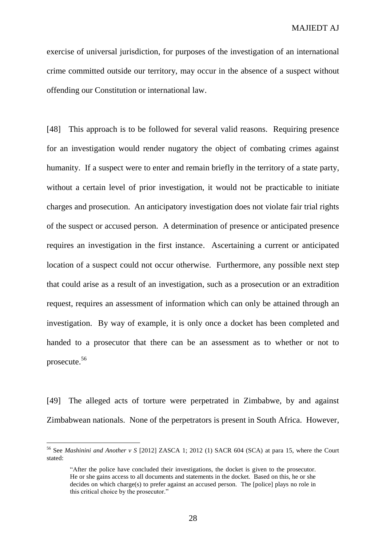exercise of universal jurisdiction, for purposes of the investigation of an international crime committed outside our territory, may occur in the absence of a suspect without offending our Constitution or international law.

[48] This approach is to be followed for several valid reasons. Requiring presence for an investigation would render nugatory the object of combating crimes against humanity. If a suspect were to enter and remain briefly in the territory of a state party, without a certain level of prior investigation, it would not be practicable to initiate charges and prosecution. An anticipatory investigation does not violate fair trial rights of the suspect or accused person. A determination of presence or anticipated presence requires an investigation in the first instance. Ascertaining a current or anticipated location of a suspect could not occur otherwise. Furthermore, any possible next step that could arise as a result of an investigation, such as a prosecution or an extradition request, requires an assessment of information which can only be attained through an investigation. By way of example, it is only once a docket has been completed and handed to a prosecutor that there can be an assessment as to whether or not to prosecute. 56

[49] The alleged acts of torture were perpetrated in Zimbabwe, by and against Zimbabwean nationals. None of the perpetrators is present in South Africa. However,

<sup>56</sup> See *Mashinini and Another v S* [2012] ZASCA 1; 2012 (1) SACR 604 (SCA) at para 15, where the Court stated:

<sup>&</sup>quot;After the police have concluded their investigations, the docket is given to the prosecutor. He or she gains access to all documents and statements in the docket. Based on this, he or she decides on which charge(s) to prefer against an accused person. The [police] plays no role in this critical choice by the prosecutor."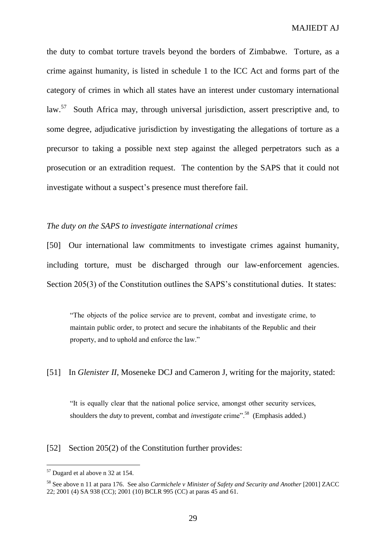the duty to combat torture travels beyond the borders of Zimbabwe. Torture, as a crime against humanity, is listed in schedule 1 to the ICC Act and forms part of the category of crimes in which all states have an interest under customary international law.<sup>57</sup> South Africa may, through universal jurisdiction, assert prescriptive and, to some degree, adjudicative jurisdiction by investigating the allegations of torture as a precursor to taking a possible next step against the alleged perpetrators such as a prosecution or an extradition request. The contention by the SAPS that it could not investigate without a suspect's presence must therefore fail.

#### *The duty on the SAPS to investigate international crimes*

[50] Our international law commitments to investigate crimes against humanity, including torture, must be discharged through our law-enforcement agencies. Section 205(3) of the Constitution outlines the SAPS's constitutional duties. It states:

"The objects of the police service are to prevent, combat and investigate crime, to maintain public order, to protect and secure the inhabitants of the Republic and their property, and to uphold and enforce the law."

#### [51] In *Glenister II*, Moseneke DCJ and Cameron J, writing for the majority, stated:

"It is equally clear that the national police service, amongst other security services, shoulders the *duty* to prevent, combat and *investigate* crime".<sup>58</sup> (Emphasis added.)

#### [52] Section 205(2) of the Constitution further provides:

 $57$  Dugard et al above n 32 at 154.

<sup>&</sup>lt;sup>58</sup> See above n 11 at para 176. See also *Carmichele v Minister of Safety and Security and Another* [2001] ZACC 22; 2001 (4) SA 938 (CC); 2001 (10) BCLR 995 (CC) at paras 45 and 61.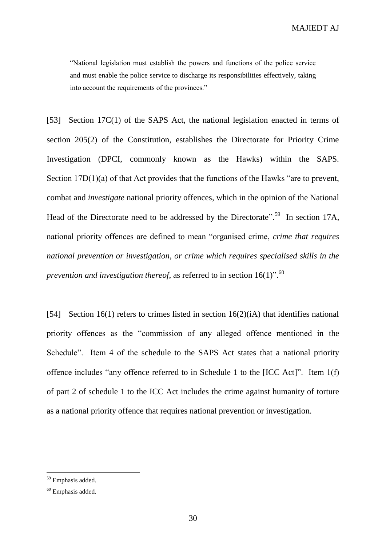MAJIEDT AJ

"National legislation must establish the powers and functions of the police service and must enable the police service to discharge its responsibilities effectively, taking into account the requirements of the provinces."

[53] Section 17C(1) of the SAPS Act, the national legislation enacted in terms of section 205(2) of the Constitution, establishes the Directorate for Priority Crime Investigation (DPCI, commonly known as the Hawks) within the SAPS. Section 17D(1)(a) of that Act provides that the functions of the Hawks "are to prevent, combat and *investigate* national priority offences, which in the opinion of the National Head of the Directorate need to be addressed by the Directorate".<sup>59</sup> In section 17A, national priority offences are defined to mean "organised crime, *crime that requires national prevention or investigation*, *or crime which requires specialised skills in the prevention and investigation thereof*, as referred to in section 16(1)". 60

[54] Section 16(1) refers to crimes listed in section 16(2)(iA) that identifies national priority offences as the "commission of any alleged offence mentioned in the Schedule". Item 4 of the schedule to the SAPS Act states that a national priority offence includes "any offence referred to in Schedule 1 to the [ICC Act]". Item 1(f) of part 2 of schedule 1 to the ICC Act includes the crime against humanity of torture as a national priority offence that requires national prevention or investigation.

<sup>59</sup> Emphasis added.

<sup>60</sup> Emphasis added.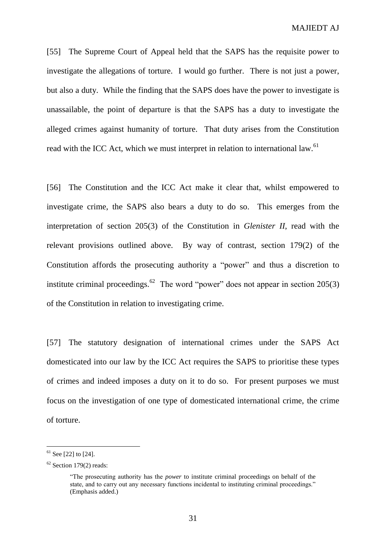[55] The Supreme Court of Appeal held that the SAPS has the requisite power to investigate the allegations of torture. I would go further. There is not just a power, but also a duty. While the finding that the SAPS does have the power to investigate is unassailable, the point of departure is that the SAPS has a duty to investigate the alleged crimes against humanity of torture. That duty arises from the Constitution read with the ICC Act, which we must interpret in relation to international law.<sup>61</sup>

[56] The Constitution and the ICC Act make it clear that, whilst empowered to investigate crime, the SAPS also bears a duty to do so. This emerges from the interpretation of section 205(3) of the Constitution in *Glenister II*, read with the relevant provisions outlined above. By way of contrast, section 179(2) of the Constitution affords the prosecuting authority a "power" and thus a discretion to institute criminal proceedings.<sup>62</sup> The word "power" does not appear in section 205(3) of the Constitution in relation to investigating crime.

[57] The statutory designation of international crimes under the SAPS Act domesticated into our law by the ICC Act requires the SAPS to prioritise these types of crimes and indeed imposes a duty on it to do so. For present purposes we must focus on the investigation of one type of domesticated international crime, the crime of torture.

 $61$  See [22] to [24].

 $62$  Section 179(2) reads:

<sup>&</sup>quot;The prosecuting authority has the *power* to institute criminal proceedings on behalf of the state, and to carry out any necessary functions incidental to instituting criminal proceedings." (Emphasis added.)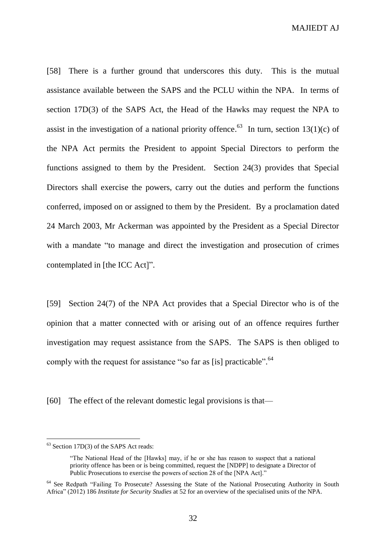MAJIEDT AJ

[58] There is a further ground that underscores this duty. This is the mutual assistance available between the SAPS and the PCLU within the NPA. In terms of section 17D(3) of the SAPS Act, the Head of the Hawks may request the NPA to assist in the investigation of a national priority offence.<sup>63</sup> In turn, section 13(1)(c) of the NPA Act permits the President to appoint Special Directors to perform the functions assigned to them by the President. Section 24(3) provides that Special Directors shall exercise the powers, carry out the duties and perform the functions conferred, imposed on or assigned to them by the President. By a proclamation dated 24 March 2003, Mr Ackerman was appointed by the President as a Special Director with a mandate "to manage and direct the investigation and prosecution of crimes contemplated in [the ICC Act]".

[59] Section 24(7) of the NPA Act provides that a Special Director who is of the opinion that a matter connected with or arising out of an offence requires further investigation may request assistance from the SAPS. The SAPS is then obliged to comply with the request for assistance "so far as [is] practicable".<sup>64</sup>

[60] The effect of the relevant domestic legal provisions is that—

 $63$  Section 17D(3) of the SAPS Act reads:

<sup>&</sup>quot;The National Head of the [Hawks] may, if he or she has reason to suspect that a national priority offence has been or is being committed, request the [NDPP] to designate a Director of Public Prosecutions to exercise the powers of section 28 of the [NPA Act]."

<sup>&</sup>lt;sup>64</sup> See Redpath "Failing To Prosecute? Assessing the State of the National Prosecuting Authority in South Africa" (2012) 186 *Institute for Security Studies* at 52 for an overview of the specialised units of the NPA.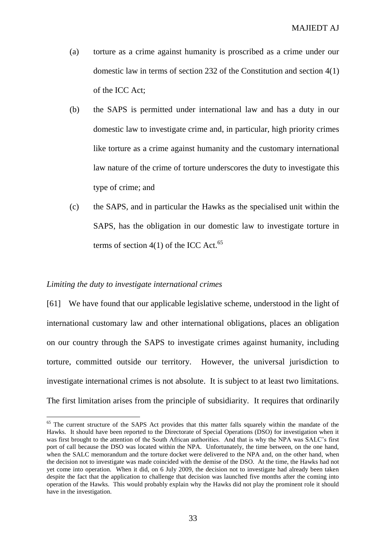- (a) torture as a crime against humanity is proscribed as a crime under our domestic law in terms of section 232 of the Constitution and section 4(1) of the ICC Act;
- (b) the SAPS is permitted under international law and has a duty in our domestic law to investigate crime and, in particular, high priority crimes like torture as a crime against humanity and the customary international law nature of the crime of torture underscores the duty to investigate this type of crime; and
- (c) the SAPS, and in particular the Hawks as the specialised unit within the SAPS, has the obligation in our domestic law to investigate torture in terms of section  $4(1)$  of the ICC Act.<sup>65</sup>

#### *Limiting the duty to investigate international crimes*

 $\overline{a}$ 

[61] We have found that our applicable legislative scheme, understood in the light of international customary law and other international obligations, places an obligation on our country through the SAPS to investigate crimes against humanity, including torture, committed outside our territory. However, the universal jurisdiction to investigate international crimes is not absolute. It is subject to at least two limitations. The first limitation arises from the principle of subsidiarity. It requires that ordinarily

<sup>&</sup>lt;sup>65</sup> The current structure of the SAPS Act provides that this matter falls squarely within the mandate of the Hawks. It should have been reported to the Directorate of Special Operations (DSO) for investigation when it was first brought to the attention of the South African authorities. And that is why the NPA was SALC's first port of call because the DSO was located within the NPA. Unfortunately, the time between, on the one hand, when the SALC memorandum and the torture docket were delivered to the NPA and, on the other hand, when the decision not to investigate was made coincided with the demise of the DSO. At the time, the Hawks had not yet come into operation. When it did, on 6 July 2009, the decision not to investigate had already been taken despite the fact that the application to challenge that decision was launched five months after the coming into operation of the Hawks. This would probably explain why the Hawks did not play the prominent role it should have in the investigation.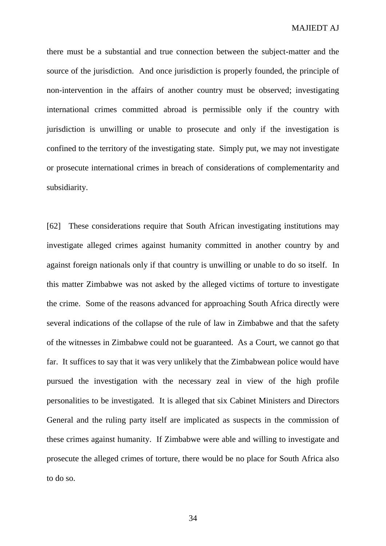there must be a substantial and true connection between the subject-matter and the source of the jurisdiction. And once jurisdiction is properly founded, the principle of non-intervention in the affairs of another country must be observed; investigating international crimes committed abroad is permissible only if the country with jurisdiction is unwilling or unable to prosecute and only if the investigation is confined to the territory of the investigating state. Simply put, we may not investigate or prosecute international crimes in breach of considerations of complementarity and subsidiarity.

[62] These considerations require that South African investigating institutions may investigate alleged crimes against humanity committed in another country by and against foreign nationals only if that country is unwilling or unable to do so itself. In this matter Zimbabwe was not asked by the alleged victims of torture to investigate the crime. Some of the reasons advanced for approaching South Africa directly were several indications of the collapse of the rule of law in Zimbabwe and that the safety of the witnesses in Zimbabwe could not be guaranteed. As a Court, we cannot go that far. It suffices to say that it was very unlikely that the Zimbabwean police would have pursued the investigation with the necessary zeal in view of the high profile personalities to be investigated. It is alleged that six Cabinet Ministers and Directors General and the ruling party itself are implicated as suspects in the commission of these crimes against humanity. If Zimbabwe were able and willing to investigate and prosecute the alleged crimes of torture, there would be no place for South Africa also to do so.

34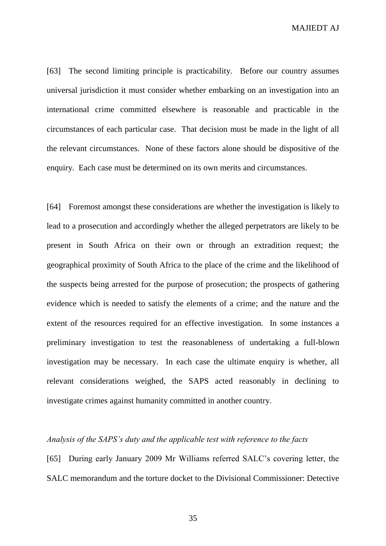MAJIEDT AJ

[63] The second limiting principle is practicability. Before our country assumes universal jurisdiction it must consider whether embarking on an investigation into an international crime committed elsewhere is reasonable and practicable in the circumstances of each particular case. That decision must be made in the light of all the relevant circumstances. None of these factors alone should be dispositive of the enquiry. Each case must be determined on its own merits and circumstances.

[64] Foremost amongst these considerations are whether the investigation is likely to lead to a prosecution and accordingly whether the alleged perpetrators are likely to be present in South Africa on their own or through an extradition request; the geographical proximity of South Africa to the place of the crime and the likelihood of the suspects being arrested for the purpose of prosecution; the prospects of gathering evidence which is needed to satisfy the elements of a crime; and the nature and the extent of the resources required for an effective investigation. In some instances a preliminary investigation to test the reasonableness of undertaking a full-blown investigation may be necessary. In each case the ultimate enquiry is whether, all relevant considerations weighed, the SAPS acted reasonably in declining to investigate crimes against humanity committed in another country.

#### *Analysis of the SAPS's duty and the applicable test with reference to the facts*

[65] During early January 2009 Mr Williams referred SALC's covering letter, the SALC memorandum and the torture docket to the Divisional Commissioner: Detective

35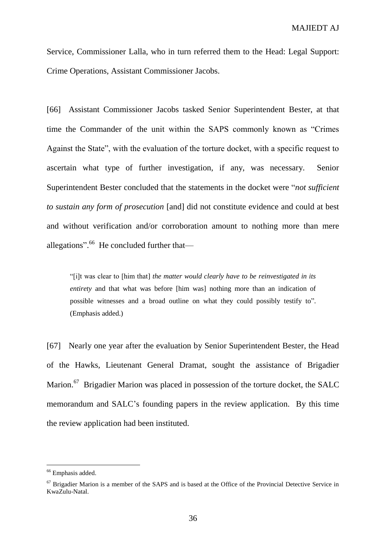Service, Commissioner Lalla, who in turn referred them to the Head: Legal Support: Crime Operations, Assistant Commissioner Jacobs.

[66] Assistant Commissioner Jacobs tasked Senior Superintendent Bester, at that time the Commander of the unit within the SAPS commonly known as "Crimes Against the State", with the evaluation of the torture docket, with a specific request to ascertain what type of further investigation, if any, was necessary. Senior Superintendent Bester concluded that the statements in the docket were "*not sufficient to sustain any form of prosecution* [and] did not constitute evidence and could at best and without verification and/or corroboration amount to nothing more than mere allegations".<sup>66</sup> He concluded further that-

"[i]t was clear to [him that] *the matter would clearly have to be reinvestigated in its entirety* and that what was before [him was] nothing more than an indication of possible witnesses and a broad outline on what they could possibly testify to". (Emphasis added.)

[67] Nearly one year after the evaluation by Senior Superintendent Bester, the Head of the Hawks, Lieutenant General Dramat, sought the assistance of Brigadier Marion.<sup>67</sup> Brigadier Marion was placed in possession of the torture docket, the SALC memorandum and SALC's founding papers in the review application. By this time the review application had been instituted.

<sup>66</sup> Emphasis added.

<sup>&</sup>lt;sup>67</sup> Brigadier Marion is a member of the SAPS and is based at the Office of the Provincial Detective Service in KwaZulu-Natal.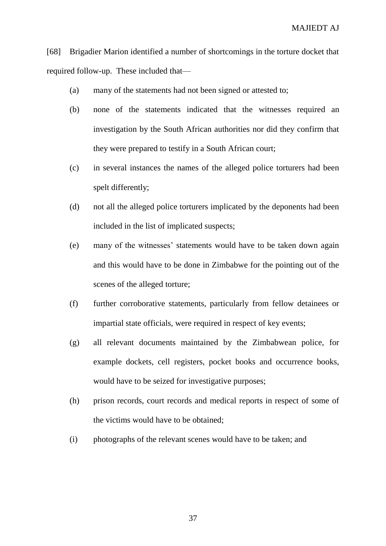[68] Brigadier Marion identified a number of shortcomings in the torture docket that required follow-up. These included that––

- (a) many of the statements had not been signed or attested to;
- (b) none of the statements indicated that the witnesses required an investigation by the South African authorities nor did they confirm that they were prepared to testify in a South African court;
- (c) in several instances the names of the alleged police torturers had been spelt differently;
- (d) not all the alleged police torturers implicated by the deponents had been included in the list of implicated suspects;
- (e) many of the witnesses' statements would have to be taken down again and this would have to be done in Zimbabwe for the pointing out of the scenes of the alleged torture;
- (f) further corroborative statements, particularly from fellow detainees or impartial state officials, were required in respect of key events;
- (g) all relevant documents maintained by the Zimbabwean police, for example dockets, cell registers, pocket books and occurrence books, would have to be seized for investigative purposes;
- (h) prison records, court records and medical reports in respect of some of the victims would have to be obtained;
- (i) photographs of the relevant scenes would have to be taken; and

37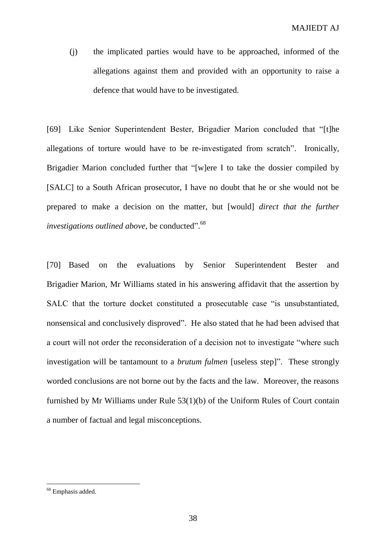(j) the implicated parties would have to be approached, informed of the allegations against them and provided with an opportunity to raise a defence that would have to be investigated.

[69] Like Senior Superintendent Bester, Brigadier Marion concluded that "[t]he allegations of torture would have to be re-investigated from scratch". Ironically, Brigadier Marion concluded further that "[w]ere I to take the dossier compiled by [SALC] to a South African prosecutor, I have no doubt that he or she would not be prepared to make a decision on the matter, but [would] *direct that the further*  investigations outlined above, be conducted".<sup>68</sup>

[70] Based on the evaluations by Senior Superintendent Bester and Brigadier Marion, Mr Williams stated in his answering affidavit that the assertion by SALC that the torture docket constituted a prosecutable case "is unsubstantiated, nonsensical and conclusively disproved". He also stated that he had been advised that a court will not order the reconsideration of a decision not to investigate "where such investigation will be tantamount to a *brutum fulmen* [useless step]". These strongly worded conclusions are not borne out by the facts and the law. Moreover, the reasons furnished by Mr Williams under Rule 53(1)(b) of the Uniform Rules of Court contain a number of factual and legal misconceptions.

<sup>68</sup> Emphasis added.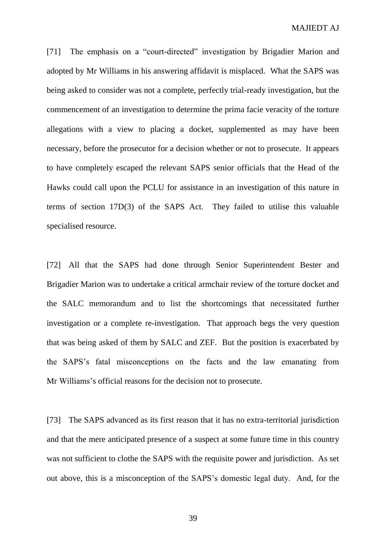[71] The emphasis on a "court-directed" investigation by Brigadier Marion and adopted by Mr Williams in his answering affidavit is misplaced. What the SAPS was being asked to consider was not a complete, perfectly trial-ready investigation, but the commencement of an investigation to determine the prima facie veracity of the torture allegations with a view to placing a docket, supplemented as may have been necessary, before the prosecutor for a decision whether or not to prosecute. It appears to have completely escaped the relevant SAPS senior officials that the Head of the Hawks could call upon the PCLU for assistance in an investigation of this nature in terms of section 17D(3) of the SAPS Act. They failed to utilise this valuable specialised resource.

[72] All that the SAPS had done through Senior Superintendent Bester and Brigadier Marion was to undertake a critical armchair review of the torture docket and the SALC memorandum and to list the shortcomings that necessitated further investigation or a complete re-investigation. That approach begs the very question that was being asked of them by SALC and ZEF. But the position is exacerbated by the SAPS's fatal misconceptions on the facts and the law emanating from Mr Williams's official reasons for the decision not to prosecute.

[73] The SAPS advanced as its first reason that it has no extra-territorial jurisdiction and that the mere anticipated presence of a suspect at some future time in this country was not sufficient to clothe the SAPS with the requisite power and jurisdiction. As set out above, this is a misconception of the SAPS's domestic legal duty. And, for the

39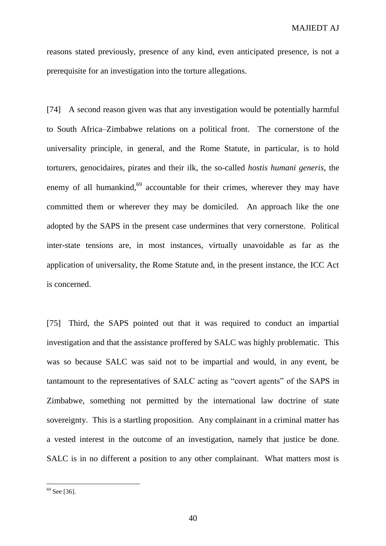reasons stated previously, presence of any kind, even anticipated presence, is not a prerequisite for an investigation into the torture allegations.

[74] A second reason given was that any investigation would be potentially harmful to South Africa–Zimbabwe relations on a political front. The cornerstone of the universality principle, in general, and the Rome Statute, in particular, is to hold torturers, genocidaires, pirates and their ilk, the so-called *hostis humani generis*, the enemy of all humankind, $69$  accountable for their crimes, wherever they may have committed them or wherever they may be domiciled. An approach like the one adopted by the SAPS in the present case undermines that very cornerstone. Political inter-state tensions are, in most instances, virtually unavoidable as far as the application of universality, the Rome Statute and, in the present instance, the ICC Act is concerned.

[75] Third, the SAPS pointed out that it was required to conduct an impartial investigation and that the assistance proffered by SALC was highly problematic. This was so because SALC was said not to be impartial and would, in any event, be tantamount to the representatives of SALC acting as "covert agents" of the SAPS in Zimbabwe, something not permitted by the international law doctrine of state sovereignty. This is a startling proposition. Any complainant in a criminal matter has a vested interest in the outcome of an investigation, namely that justice be done. SALC is in no different a position to any other complainant. What matters most is

 $69$  See [36].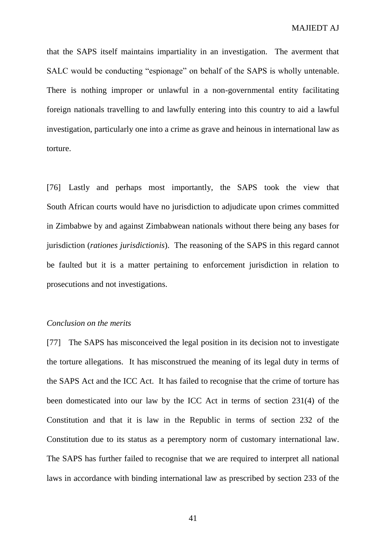that the SAPS itself maintains impartiality in an investigation. The averment that SALC would be conducting "espionage" on behalf of the SAPS is wholly untenable. There is nothing improper or unlawful in a non-governmental entity facilitating foreign nationals travelling to and lawfully entering into this country to aid a lawful investigation, particularly one into a crime as grave and heinous in international law as torture.

[76] Lastly and perhaps most importantly, the SAPS took the view that South African courts would have no jurisdiction to adjudicate upon crimes committed in Zimbabwe by and against Zimbabwean nationals without there being any bases for jurisdiction (*rationes jurisdictionis*). The reasoning of the SAPS in this regard cannot be faulted but it is a matter pertaining to enforcement jurisdiction in relation to prosecutions and not investigations.

#### *Conclusion on the merits*

[77] The SAPS has misconceived the legal position in its decision not to investigate the torture allegations. It has misconstrued the meaning of its legal duty in terms of the SAPS Act and the ICC Act. It has failed to recognise that the crime of torture has been domesticated into our law by the ICC Act in terms of section 231(4) of the Constitution and that it is law in the Republic in terms of section 232 of the Constitution due to its status as a peremptory norm of customary international law. The SAPS has further failed to recognise that we are required to interpret all national laws in accordance with binding international law as prescribed by section 233 of the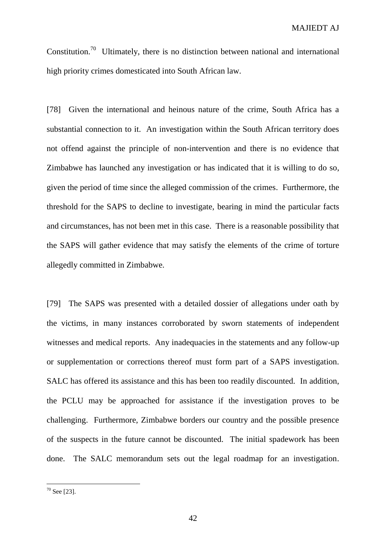Constitution.<sup>70</sup> Ultimately, there is no distinction between national and international high priority crimes domesticated into South African law.

[78] Given the international and heinous nature of the crime, South Africa has a substantial connection to it. An investigation within the South African territory does not offend against the principle of non-intervention and there is no evidence that Zimbabwe has launched any investigation or has indicated that it is willing to do so, given the period of time since the alleged commission of the crimes. Furthermore, the threshold for the SAPS to decline to investigate, bearing in mind the particular facts and circumstances, has not been met in this case. There is a reasonable possibility that the SAPS will gather evidence that may satisfy the elements of the crime of torture allegedly committed in Zimbabwe.

[79] The SAPS was presented with a detailed dossier of allegations under oath by the victims, in many instances corroborated by sworn statements of independent witnesses and medical reports. Any inadequacies in the statements and any follow-up or supplementation or corrections thereof must form part of a SAPS investigation. SALC has offered its assistance and this has been too readily discounted. In addition, the PCLU may be approached for assistance if the investigation proves to be challenging. Furthermore, Zimbabwe borders our country and the possible presence of the suspects in the future cannot be discounted. The initial spadework has been done. The SALC memorandum sets out the legal roadmap for an investigation.

 $70$  See [23].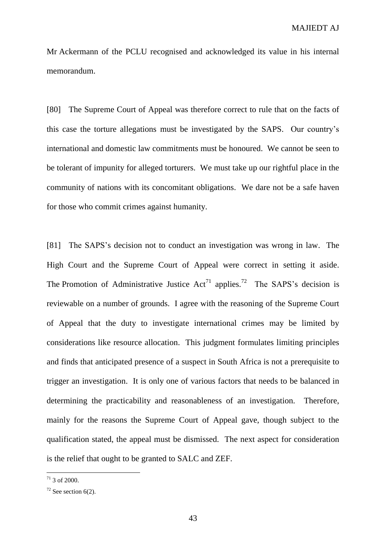Mr Ackermann of the PCLU recognised and acknowledged its value in his internal memorandum.

[80] The Supreme Court of Appeal was therefore correct to rule that on the facts of this case the torture allegations must be investigated by the SAPS. Our country's international and domestic law commitments must be honoured. We cannot be seen to be tolerant of impunity for alleged torturers. We must take up our rightful place in the community of nations with its concomitant obligations. We dare not be a safe haven for those who commit crimes against humanity.

[81] The SAPS's decision not to conduct an investigation was wrong in law. The High Court and the Supreme Court of Appeal were correct in setting it aside. The Promotion of Administrative Justice  $Act^{71}$  applies.<sup>72</sup> The SAPS's decision is reviewable on a number of grounds. I agree with the reasoning of the Supreme Court of Appeal that the duty to investigate international crimes may be limited by considerations like resource allocation. This judgment formulates limiting principles and finds that anticipated presence of a suspect in South Africa is not a prerequisite to trigger an investigation. It is only one of various factors that needs to be balanced in determining the practicability and reasonableness of an investigation. Therefore, mainly for the reasons the Supreme Court of Appeal gave, though subject to the qualification stated, the appeal must be dismissed. The next aspect for consideration is the relief that ought to be granted to SALC and ZEF.

 $71$  3 of 2000.

 $72$  See section 6(2).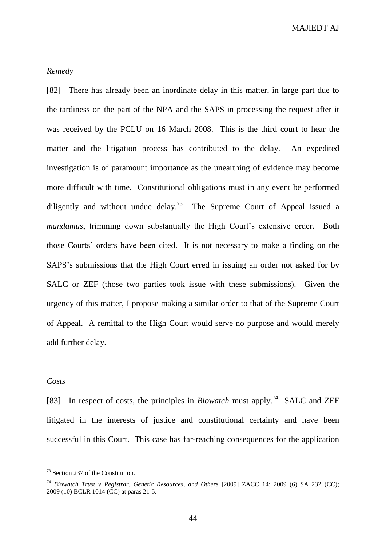MAJIEDT AJ

#### *Remedy*

[82] There has already been an inordinate delay in this matter, in large part due to the tardiness on the part of the NPA and the SAPS in processing the request after it was received by the PCLU on 16 March 2008. This is the third court to hear the matter and the litigation process has contributed to the delay. An expedited investigation is of paramount importance as the unearthing of evidence may become more difficult with time. Constitutional obligations must in any event be performed diligently and without undue delay.<sup>73</sup> The Supreme Court of Appeal issued a *mandamus*, trimming down substantially the High Court's extensive order. Both those Courts' orders have been cited. It is not necessary to make a finding on the SAPS's submissions that the High Court erred in issuing an order not asked for by SALC or ZEF (those two parties took issue with these submissions). Given the urgency of this matter, I propose making a similar order to that of the Supreme Court of Appeal. A remittal to the High Court would serve no purpose and would merely add further delay.

#### *Costs*

 $\overline{a}$ 

[83] In respect of costs, the principles in *Biowatch* must apply.<sup>74</sup> SALC and ZEF litigated in the interests of justice and constitutional certainty and have been successful in this Court. This case has far-reaching consequences for the application

<sup>&</sup>lt;sup>73</sup> Section 237 of the Constitution.

<sup>74</sup> *Biowatch Trust v Registrar, Genetic Resources, and Others* [2009] ZACC 14; 2009 (6) SA 232 (CC); 2009 (10) BCLR 1014 (CC) at paras 21-5.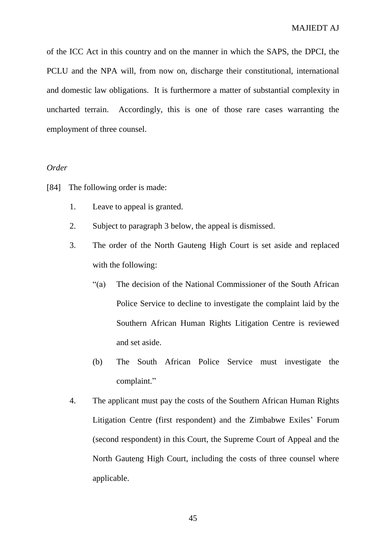of the ICC Act in this country and on the manner in which the SAPS, the DPCI, the PCLU and the NPA will, from now on, discharge their constitutional, international and domestic law obligations. It is furthermore a matter of substantial complexity in uncharted terrain. Accordingly, this is one of those rare cases warranting the employment of three counsel.

#### *Order*

- [84] The following order is made:
	- 1. Leave to appeal is granted.
	- 2. Subject to paragraph 3 below, the appeal is dismissed.
	- 3. The order of the North Gauteng High Court is set aside and replaced with the following:
		- "(a) The decision of the National Commissioner of the South African Police Service to decline to investigate the complaint laid by the Southern African Human Rights Litigation Centre is reviewed and set aside.
		- (b) The South African Police Service must investigate the complaint."
	- 4. The applicant must pay the costs of the Southern African Human Rights Litigation Centre (first respondent) and the Zimbabwe Exiles' Forum (second respondent) in this Court, the Supreme Court of Appeal and the North Gauteng High Court, including the costs of three counsel where applicable.